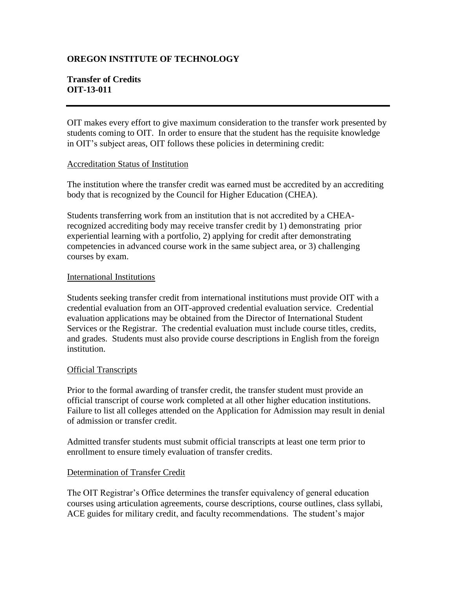# **OREGON INSTITUTE OF TECHNOLOGY**

# **Transfer of Credits OIT-13-011**

OIT makes every effort to give maximum consideration to the transfer work presented by students coming to OIT. In order to ensure that the student has the requisite knowledge in OIT's subject areas, OIT follows these policies in determining credit:

#### Accreditation Status of Institution

The institution where the transfer credit was earned must be accredited by an accrediting body that is recognized by the Council for Higher Education (CHEA).

Students transferring work from an institution that is not accredited by a CHEArecognized accrediting body may receive transfer credit by 1) demonstrating prior experiential learning with a portfolio, 2) applying for credit after demonstrating competencies in advanced course work in the same subject area, or 3) challenging courses by exam.

#### International Institutions

Students seeking transfer credit from international institutions must provide OIT with a credential evaluation from an OIT-approved credential evaluation service. Credential evaluation applications may be obtained from the Director of International Student Services or the Registrar. The credential evaluation must include course titles, credits, and grades. Students must also provide course descriptions in English from the foreign institution.

#### Official Transcripts

Prior to the formal awarding of transfer credit, the transfer student must provide an official transcript of course work completed at all other higher education institutions. Failure to list all colleges attended on the Application for Admission may result in denial of admission or transfer credit.

Admitted transfer students must submit official transcripts at least one term prior to enrollment to ensure timely evaluation of transfer credits.

## Determination of Transfer Credit

The OIT Registrar's Office determines the transfer equivalency of general education courses using articulation agreements, course descriptions, course outlines, class syllabi, ACE guides for military credit, and faculty recommendations. The student's major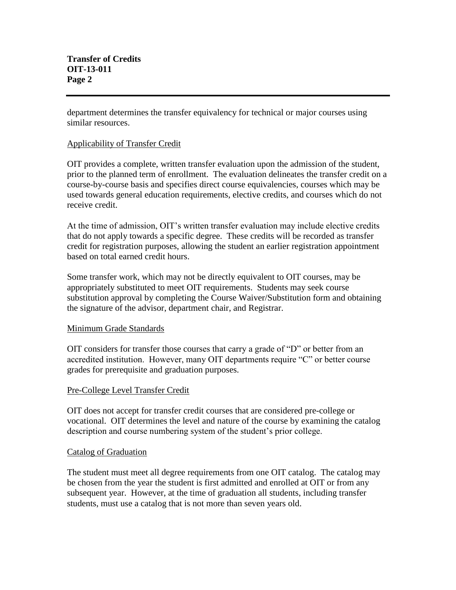department determines the transfer equivalency for technical or major courses using similar resources.

## Applicability of Transfer Credit

OIT provides a complete, written transfer evaluation upon the admission of the student, prior to the planned term of enrollment. The evaluation delineates the transfer credit on a course-by-course basis and specifies direct course equivalencies, courses which may be used towards general education requirements, elective credits, and courses which do not receive credit.

At the time of admission, OIT's written transfer evaluation may include elective credits that do not apply towards a specific degree. These credits will be recorded as transfer credit for registration purposes, allowing the student an earlier registration appointment based on total earned credit hours.

Some transfer work, which may not be directly equivalent to OIT courses, may be appropriately substituted to meet OIT requirements. Students may seek course substitution approval by completing the Course Waiver/Substitution form and obtaining the signature of the advisor, department chair, and Registrar.

## Minimum Grade Standards

OIT considers for transfer those courses that carry a grade of "D" or better from an accredited institution. However, many OIT departments require "C" or better course grades for prerequisite and graduation purposes.

## Pre-College Level Transfer Credit

OIT does not accept for transfer credit courses that are considered pre-college or vocational. OIT determines the level and nature of the course by examining the catalog description and course numbering system of the student's prior college.

#### Catalog of Graduation

The student must meet all degree requirements from one OIT catalog. The catalog may be chosen from the year the student is first admitted and enrolled at OIT or from any subsequent year. However, at the time of graduation all students, including transfer students, must use a catalog that is not more than seven years old.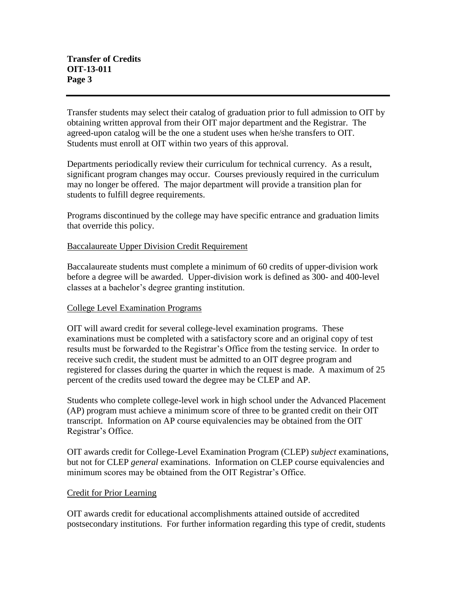Transfer students may select their catalog of graduation prior to full admission to OIT by obtaining written approval from their OIT major department and the Registrar. The agreed-upon catalog will be the one a student uses when he/she transfers to OIT. Students must enroll at OIT within two years of this approval.

Departments periodically review their curriculum for technical currency. As a result, significant program changes may occur. Courses previously required in the curriculum may no longer be offered. The major department will provide a transition plan for students to fulfill degree requirements.

Programs discontinued by the college may have specific entrance and graduation limits that override this policy.

## Baccalaureate Upper Division Credit Requirement

Baccalaureate students must complete a minimum of 60 credits of upper-division work before a degree will be awarded. Upper-division work is defined as 300- and 400-level classes at a bachelor's degree granting institution.

## College Level Examination Programs

OIT will award credit for several college-level examination programs. These examinations must be completed with a satisfactory score and an original copy of test results must be forwarded to the Registrar's Office from the testing service. In order to receive such credit, the student must be admitted to an OIT degree program and registered for classes during the quarter in which the request is made. A maximum of 25 percent of the credits used toward the degree may be CLEP and AP.

Students who complete college-level work in high school under the Advanced Placement (AP) program must achieve a minimum score of three to be granted credit on their OIT transcript. Information on AP course equivalencies may be obtained from the OIT Registrar's Office.

OIT awards credit for College-Level Examination Program (CLEP) *subject* examinations, but not for CLEP *general* examinations. Information on CLEP course equivalencies and minimum scores may be obtained from the OIT Registrar's Office.

#### Credit for Prior Learning

OIT awards credit for educational accomplishments attained outside of accredited postsecondary institutions. For further information regarding this type of credit, students